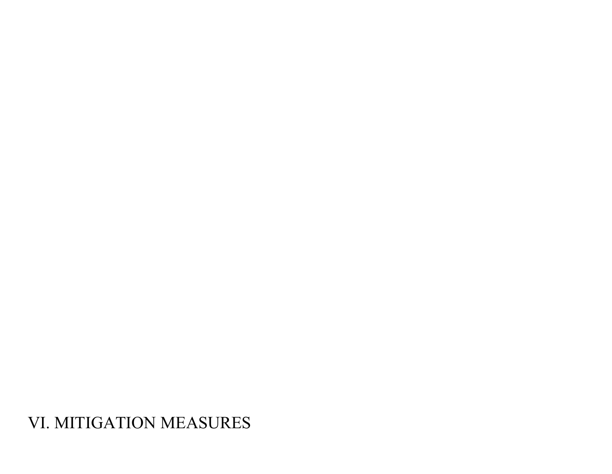VI. MITIGATION MEASURES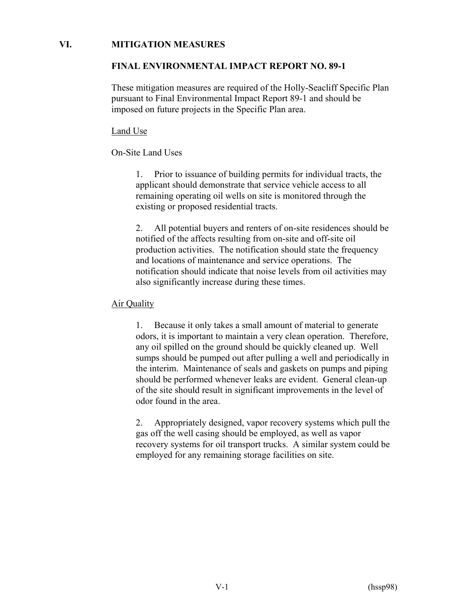#### **VI. MITIGATION MEASURES**

#### **FINAL ENVIRONMENTAL IMPACT REPORT NO. 89-1**

These mitigation measures are required of the Holly-Seacliff Specific Plan pursuant to Final Environmental Impact Report 89-1 and should be imposed on future projects in the Specific Plan area.

#### Land Use

## On-Site Land Uses

1. Prior to issuance of building permits for individual tracts, the applicant should demonstrate that service vehicle access to all remaining operating oil wells on site is monitored through the existing or proposed residential tracts.

2. All potential buyers and renters of on-site residences should be notified of the affects resulting from on-site and off-site oil production activities. The notification should state the frequency and locations of maintenance and service operations. The notification should indicate that noise levels from oil activities may also significantly increase during these times.

# Air Quality

1. Because it only takes a small amount of material to generate odors, it is important to maintain a very clean operation. Therefore, any oil spilled on the ground should be quickly cleaned up. Well sumps should be pumped out after pulling a well and periodically in the interim. Maintenance of seals and gaskets on pumps and piping should be performed whenever leaks are evident. General clean-up of the site should result in significant improvements in the level of odor found in the area.

2. Appropriately designed, vapor recovery systems which pull the gas off the well casing should be employed, as well as vapor recovery systems for oil transport trucks. A similar system could be employed for any remaining storage facilities on site.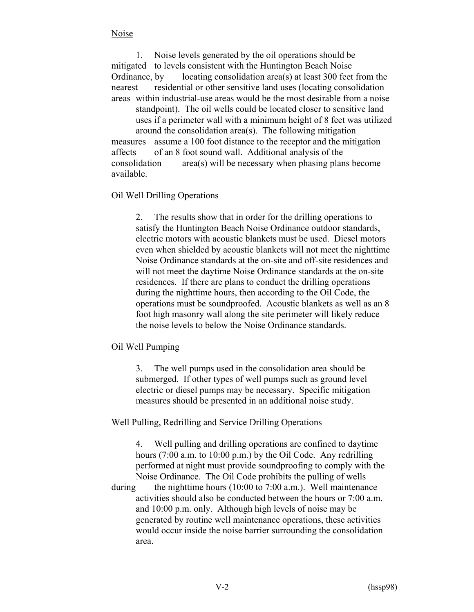## Noise

1. Noise levels generated by the oil operations should be mitigated to levels consistent with the Huntington Beach Noise Ordinance, by locating consolidation area(s) at least 300 feet from the nearest residential or other sensitive land uses (locating consolidation areas within industrial-use areas would be the most desirable from a noise standpoint). The oil wells could be located closer to sensitive land uses if a perimeter wall with a minimum height of 8 feet was utilized around the consolidation area(s). The following mitigation measures assume a 100 foot distance to the receptor and the mitigation affects of an 8 foot sound wall. Additional analysis of the consolidation area(s) will be necessary when phasing plans become available.

#### Oil Well Drilling Operations

2. The results show that in order for the drilling operations to satisfy the Huntington Beach Noise Ordinance outdoor standards, electric motors with acoustic blankets must be used. Diesel motors even when shielded by acoustic blankets will not meet the nighttime Noise Ordinance standards at the on-site and off-site residences and will not meet the daytime Noise Ordinance standards at the on-site residences. If there are plans to conduct the drilling operations during the nighttime hours, then according to the Oil Code, the operations must be soundproofed. Acoustic blankets as well as an 8 foot high masonry wall along the site perimeter will likely reduce the noise levels to below the Noise Ordinance standards.

#### Oil Well Pumping

3. The well pumps used in the consolidation area should be submerged. If other types of well pumps such as ground level electric or diesel pumps may be necessary. Specific mitigation measures should be presented in an additional noise study.

Well Pulling, Redrilling and Service Drilling Operations

4. Well pulling and drilling operations are confined to daytime hours (7:00 a.m. to 10:00 p.m.) by the Oil Code. Any redrilling performed at night must provide soundproofing to comply with the Noise Ordinance. The Oil Code prohibits the pulling of wells during the nighttime hours  $(10:00 \text{ to } 7:00 \text{ a.m.})$ . Well maintenance activities should also be conducted between the hours or 7:00 a.m. and 10:00 p.m. only. Although high levels of noise may be generated by routine well maintenance operations, these activities would occur inside the noise barrier surrounding the consolidation area.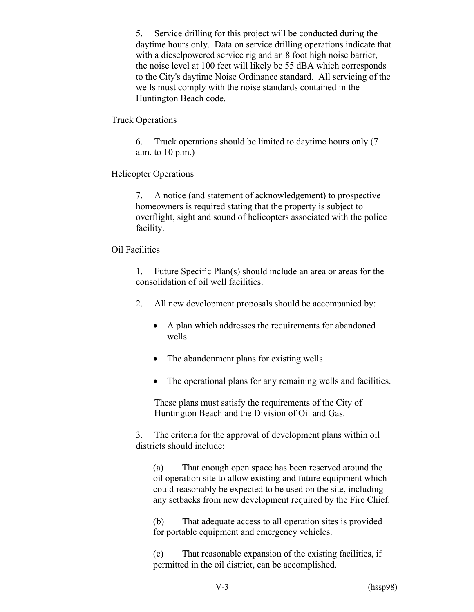5. Service drilling for this project will be conducted during the daytime hours only. Data on service drilling operations indicate that with a dieselpowered service rig and an 8 foot high noise barrier, the noise level at 100 feet will likely be 55 dBA which corresponds to the City's daytime Noise Ordinance standard. All servicing of the wells must comply with the noise standards contained in the Huntington Beach code.

Truck Operations

6. Truck operations should be limited to daytime hours only (7 a.m. to 10 p.m.)

Helicopter Operations

7. A notice (and statement of acknowledgement) to prospective homeowners is required stating that the property is subject to overflight, sight and sound of helicopters associated with the police facility.

#### Oil Facilities

1. Future Specific Plan(s) should include an area or areas for the consolidation of oil well facilities.

- 2. All new development proposals should be accompanied by:
	- A plan which addresses the requirements for abandoned wells.
	- The abandonment plans for existing wells.
	- The operational plans for any remaining wells and facilities.

These plans must satisfy the requirements of the City of Huntington Beach and the Division of Oil and Gas.

3. The criteria for the approval of development plans within oil districts should include:

(a) That enough open space has been reserved around the oil operation site to allow existing and future equipment which could reasonably be expected to be used on the site, including any setbacks from new development required by the Fire Chief.

(b) That adequate access to all operation sites is provided for portable equipment and emergency vehicles.

(c) That reasonable expansion of the existing facilities, if permitted in the oil district, can be accomplished.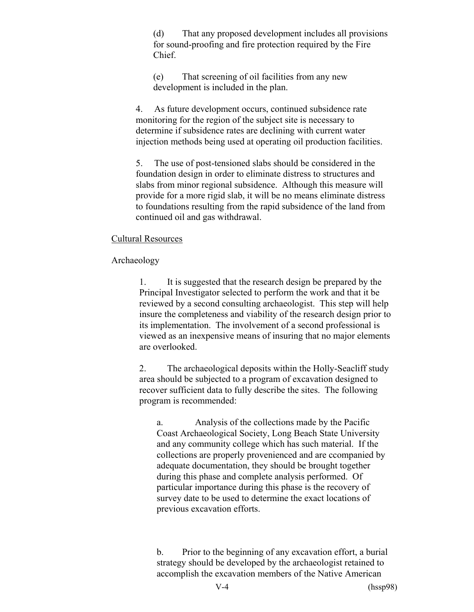(d) That any proposed development includes all provisions for sound-proofing and fire protection required by the Fire Chief.

(e) That screening of oil facilities from any new development is included in the plan.

4. As future development occurs, continued subsidence rate monitoring for the region of the subject site is necessary to determine if subsidence rates are declining with current water injection methods being used at operating oil production facilities.

5. The use of post-tensioned slabs should be considered in the foundation design in order to eliminate distress to structures and slabs from minor regional subsidence. Although this measure will provide for a more rigid slab, it will be no means eliminate distress to foundations resulting from the rapid subsidence of the land from continued oil and gas withdrawal.

#### Cultural Resources

#### Archaeology

1. It is suggested that the research design be prepared by the Principal Investigator selected to perform the work and that it be reviewed by a second consulting archaeologist. This step will help insure the completeness and viability of the research design prior to its implementation. The involvement of a second professional is viewed as an inexpensive means of insuring that no major elements are overlooked.

2. The archaeological deposits within the Holly-Seacliff study area should be subjected to a program of excavation designed to recover sufficient data to fully describe the sites. The following program is recommended:

a. Analysis of the collections made by the Pacific Coast Archaeological Society, Long Beach State University and any community college which has such material. If the collections are properly provenienced and are ccompanied by adequate documentation, they should be brought together during this phase and complete analysis performed. Of particular importance during this phase is the recovery of survey date to be used to determine the exact locations of previous excavation efforts.

b. Prior to the beginning of any excavation effort, a burial strategy should be developed by the archaeologist retained to accomplish the excavation members of the Native American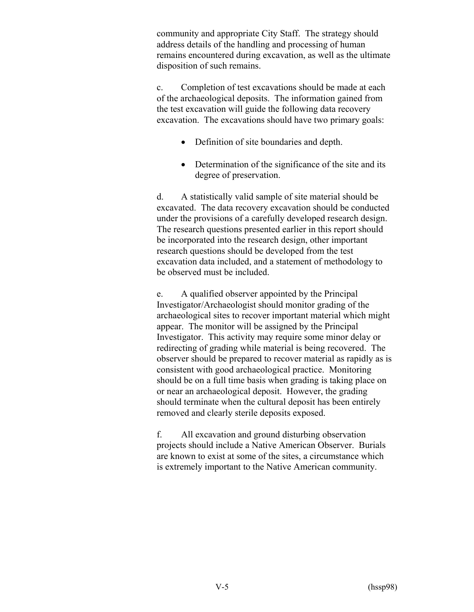community and appropriate City Staff. The strategy should address details of the handling and processing of human remains encountered during excavation, as well as the ultimate disposition of such remains.

c. Completion of test excavations should be made at each of the archaeological deposits. The information gained from the test excavation will guide the following data recovery excavation. The excavations should have two primary goals:

- Definition of site boundaries and depth.
- Determination of the significance of the site and its degree of preservation.

d. A statistically valid sample of site material should be excavated. The data recovery excavation should be conducted under the provisions of a carefully developed research design. The research questions presented earlier in this report should be incorporated into the research design, other important research questions should be developed from the test excavation data included, and a statement of methodology to be observed must be included.

e. A qualified observer appointed by the Principal Investigator/Archaeologist should monitor grading of the archaeological sites to recover important material which might appear. The monitor will be assigned by the Principal Investigator. This activity may require some minor delay or redirecting of grading while material is being recovered. The observer should be prepared to recover material as rapidly as is consistent with good archaeological practice. Monitoring should be on a full time basis when grading is taking place on or near an archaeological deposit. However, the grading should terminate when the cultural deposit has been entirely removed and clearly sterile deposits exposed.

f. All excavation and ground disturbing observation projects should include a Native American Observer. Burials are known to exist at some of the sites, a circumstance which is extremely important to the Native American community.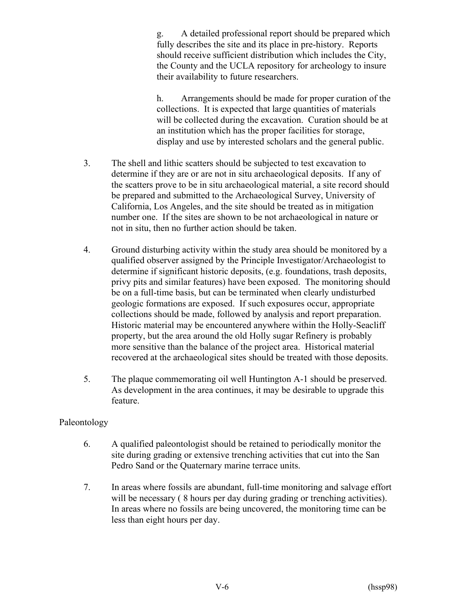g. A detailed professional report should be prepared which fully describes the site and its place in pre-history. Reports should receive sufficient distribution which includes the City, the County and the UCLA repository for archeology to insure their availability to future researchers.

h. Arrangements should be made for proper curation of the collections. It is expected that large quantities of materials will be collected during the excavation. Curation should be at an institution which has the proper facilities for storage, display and use by interested scholars and the general public.

- 3. The shell and lithic scatters should be subjected to test excavation to determine if they are or are not in situ archaeological deposits. If any of the scatters prove to be in situ archaeological material, a site record should be prepared and submitted to the Archaeological Survey, University of California, Los Angeles, and the site should be treated as in mitigation number one. If the sites are shown to be not archaeological in nature or not in situ, then no further action should be taken.
- 4. Ground disturbing activity within the study area should be monitored by a qualified observer assigned by the Principle Investigator/Archaeologist to determine if significant historic deposits, (e.g. foundations, trash deposits, privy pits and similar features) have been exposed. The monitoring should be on a full-time basis, but can be terminated when clearly undisturbed geologic formations are exposed. If such exposures occur, appropriate collections should be made, followed by analysis and report preparation. Historic material may be encountered anywhere within the Holly-Seacliff property, but the area around the old Holly sugar Refinery is probably more sensitive than the balance of the project area. Historical material recovered at the archaeological sites should be treated with those deposits.
- 5. The plaque commemorating oil well Huntington A-1 should be preserved. As development in the area continues, it may be desirable to upgrade this feature.

# Paleontology

- 6. A qualified paleontologist should be retained to periodically monitor the site during grading or extensive trenching activities that cut into the San Pedro Sand or the Quaternary marine terrace units.
- 7. In areas where fossils are abundant, full-time monitoring and salvage effort will be necessary (8 hours per day during grading or trenching activities). In areas where no fossils are being uncovered, the monitoring time can be less than eight hours per day.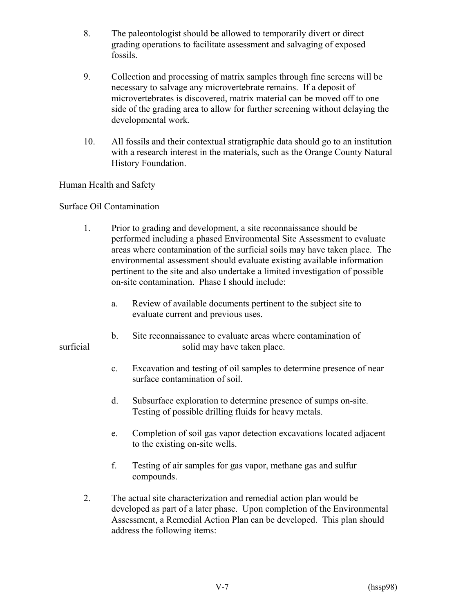- 8. The paleontologist should be allowed to temporarily divert or direct grading operations to facilitate assessment and salvaging of exposed fossils.
- 9. Collection and processing of matrix samples through fine screens will be necessary to salvage any microvertebrate remains. If a deposit of microvertebrates is discovered, matrix material can be moved off to one side of the grading area to allow for further screening without delaying the developmental work.
- 10. All fossils and their contextual stratigraphic data should go to an institution with a research interest in the materials, such as the Orange County Natural History Foundation.

# Human Health and Safety

# Surface Oil Contamination

- 1. Prior to grading and development, a site reconnaissance should be performed including a phased Environmental Site Assessment to evaluate areas where contamination of the surficial soils may have taken place. The environmental assessment should evaluate existing available information pertinent to the site and also undertake a limited investigation of possible on-site contamination. Phase I should include:
	- a. Review of available documents pertinent to the subject site to evaluate current and previous uses.
- b. Site reconnaissance to evaluate areas where contamination of surficial solid may have taken place.
	- c. Excavation and testing of oil samples to determine presence of near surface contamination of soil.
	- d. Subsurface exploration to determine presence of sumps on-site. Testing of possible drilling fluids for heavy metals.
	- e. Completion of soil gas vapor detection excavations located adjacent to the existing on-site wells.
	- f. Testing of air samples for gas vapor, methane gas and sulfur compounds.
	- 2. The actual site characterization and remedial action plan would be developed as part of a later phase. Upon completion of the Environmental Assessment, a Remedial Action Plan can be developed. This plan should address the following items: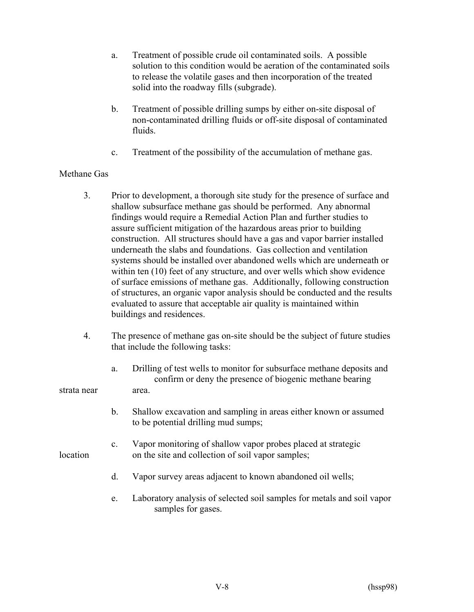- a. Treatment of possible crude oil contaminated soils. A possible solution to this condition would be aeration of the contaminated soils to release the volatile gases and then incorporation of the treated solid into the roadway fills (subgrade).
- b. Treatment of possible drilling sumps by either on-site disposal of non-contaminated drilling fluids or off-site disposal of contaminated fluids.
- c. Treatment of the possibility of the accumulation of methane gas.

# Methane Gas

- 3. Prior to development, a thorough site study for the presence of surface and shallow subsurface methane gas should be performed. Any abnormal findings would require a Remedial Action Plan and further studies to assure sufficient mitigation of the hazardous areas prior to building construction. All structures should have a gas and vapor barrier installed underneath the slabs and foundations. Gas collection and ventilation systems should be installed over abandoned wells which are underneath or within ten  $(10)$  feet of any structure, and over wells which show evidence of surface emissions of methane gas. Additionally, following construction of structures, an organic vapor analysis should be conducted and the results evaluated to assure that acceptable air quality is maintained within buildings and residences.
- 4. The presence of methane gas on-site should be the subject of future studies that include the following tasks:
- a. Drilling of test wells to monitor for subsurface methane deposits and confirm or deny the presence of biogenic methane bearing strata near area.
	- b. Shallow excavation and sampling in areas either known or assumed to be potential drilling mud sumps;
- c. Vapor monitoring of shallow vapor probes placed at strategic location on the site and collection of soil vapor samples;
	- d. Vapor survey areas adjacent to known abandoned oil wells;
	- e. Laboratory analysis of selected soil samples for metals and soil vapor samples for gases.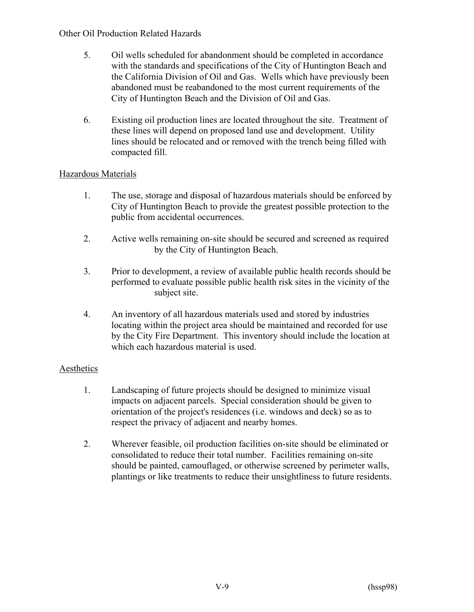## Other Oil Production Related Hazards

- 5. Oil wells scheduled for abandonment should be completed in accordance with the standards and specifications of the City of Huntington Beach and the California Division of Oil and Gas. Wells which have previously been abandoned must be reabandoned to the most current requirements of the City of Huntington Beach and the Division of Oil and Gas.
- 6. Existing oil production lines are located throughout the site. Treatment of these lines will depend on proposed land use and development. Utility lines should be relocated and or removed with the trench being filled with compacted fill.

# Hazardous Materials

- 1. The use, storage and disposal of hazardous materials should be enforced by City of Huntington Beach to provide the greatest possible protection to the public from accidental occurrences.
- 2. Active wells remaining on-site should be secured and screened as required by the City of Huntington Beach.
- 3. Prior to development, a review of available public health records should be performed to evaluate possible public health risk sites in the vicinity of the subject site.
- 4. An inventory of all hazardous materials used and stored by industries locating within the project area should be maintained and recorded for use by the City Fire Department. This inventory should include the location at which each hazardous material is used.

# **Aesthetics**

- 1. Landscaping of future projects should be designed to minimize visual impacts on adjacent parcels. Special consideration should be given to orientation of the project's residences (i.e. windows and deck) so as to respect the privacy of adjacent and nearby homes.
- 2. Wherever feasible, oil production facilities on-site should be eliminated or consolidated to reduce their total number. Facilities remaining on-site should be painted, camouflaged, or otherwise screened by perimeter walls, plantings or like treatments to reduce their unsightliness to future residents.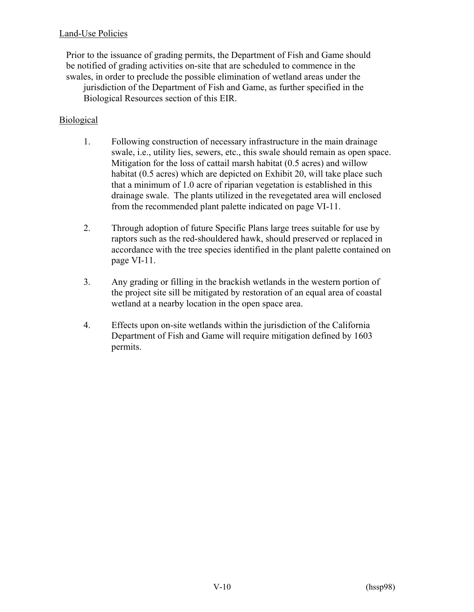# Land-Use Policies

Prior to the issuance of grading permits, the Department of Fish and Game should be notified of grading activities on-site that are scheduled to commence in the swales, in order to preclude the possible elimination of wetland areas under the jurisdiction of the Department of Fish and Game, as further specified in the Biological Resources section of this EIR.

## Biological

- 1. Following construction of necessary infrastructure in the main drainage swale, i.e., utility lies, sewers, etc., this swale should remain as open space. Mitigation for the loss of cattail marsh habitat (0.5 acres) and willow habitat (0.5 acres) which are depicted on Exhibit 20, will take place such that a minimum of 1.0 acre of riparian vegetation is established in this drainage swale. The plants utilized in the revegetated area will enclosed from the recommended plant palette indicated on page VI-11.
- 2. Through adoption of future Specific Plans large trees suitable for use by raptors such as the red-shouldered hawk, should preserved or replaced in accordance with the tree species identified in the plant palette contained on page VI-11.
- 3. Any grading or filling in the brackish wetlands in the western portion of the project site sill be mitigated by restoration of an equal area of coastal wetland at a nearby location in the open space area.
- 4. Effects upon on-site wetlands within the jurisdiction of the California Department of Fish and Game will require mitigation defined by 1603 permits.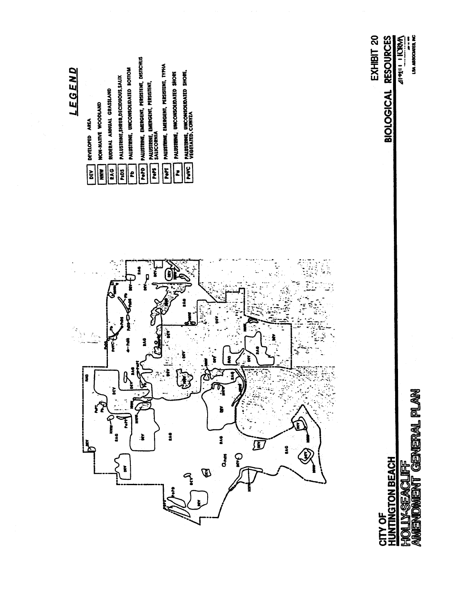

GENERAL PLAN **HOLLY-SEACLIFF** ENT **AMENDA**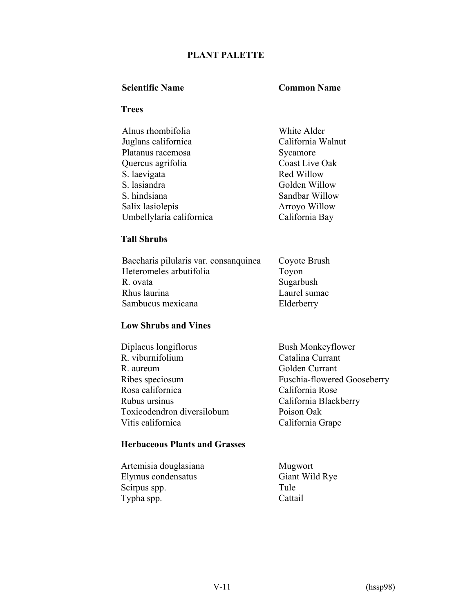# **PLANT PALETTE**

#### **Scientific Name Common Name**

#### **Trees**

| Alnus rhombifolia        | White Alder       |
|--------------------------|-------------------|
| Juglans californica      | California Walnut |
| Platanus racemosa        | Sycamore          |
| Quercus agrifolia        | Coast Live Oak    |
| S. laevigata             | Red Willow        |
| S. lasiandra             | Golden Willow     |
| S. hindsiana             | Sandbar Willow    |
| Salix lasiolepis         | Arroyo Willow     |
| Umbellylaria californica | California Bay    |

# **Tall Shrubs**

| Baccharis pilularis var. consanguinea | Coyote Brush |
|---------------------------------------|--------------|
| Heteromeles arbutifolia               | Toyon        |
| R. ovata                              | Sugarbush    |
| Rhus laurina                          | Laurel sumac |
| Sambucus mexicana                     | Elderberry   |

## **Low Shrubs and Vines**

| Diplacus longiflorus       | <b>Bush Monkeyflower</b>    |
|----------------------------|-----------------------------|
| R. viburnifolium           | Catalina Currant            |
| R. aureum                  | Golden Currant              |
| Ribes speciosum            | Fuschia-flowered Gooseberry |
| Rosa californica           | California Rose             |
| Rubus ursinus              | California Blackberry       |
| Toxicodendron diversilobum | Poison Oak                  |
| Vitis californica          | California Grape            |
|                            |                             |

# **Herbaceous Plants and Grasses**

| Artemisia douglasiana | Mugwort   |
|-----------------------|-----------|
| Elymus condensatus    | Giant Wil |
| Scirpus spp.          | Tule      |
| Typha spp.            | Cattail   |

Mugwort<br>Giant Wild Rye